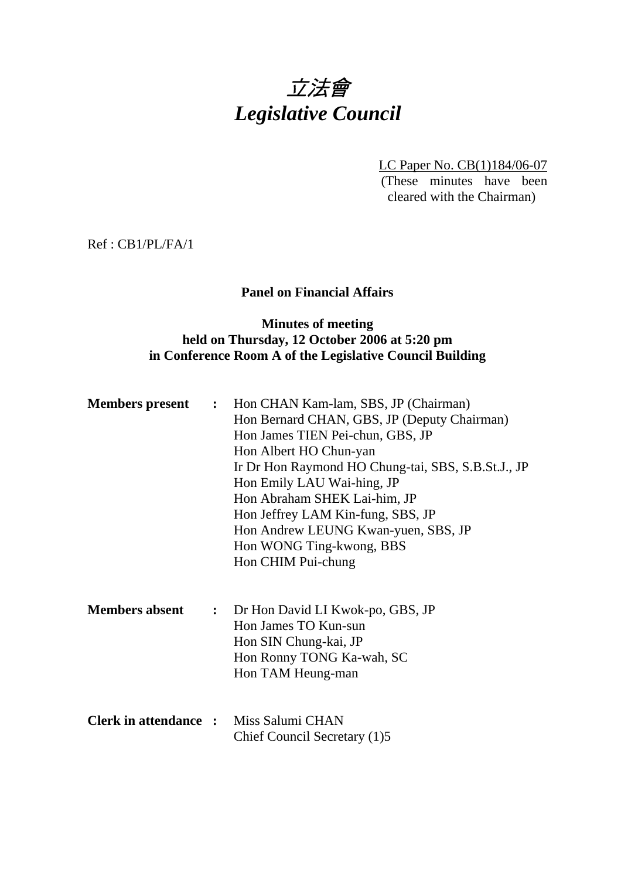# 立法會 *Legislative Council*

LC Paper No. CB(1)184/06-07 (These minutes have been cleared with the Chairman)

Ref : CB1/PL/FA/1

# **Panel on Financial Affairs**

# **Minutes of meeting held on Thursday, 12 October 2006 at 5:20 pm in Conference Room A of the Legislative Council Building**

| <b>Members present</b>                        | $\ddot{\cdot}$ | Hon CHAN Kam-lam, SBS, JP (Chairman)<br>Hon Bernard CHAN, GBS, JP (Deputy Chairman)<br>Hon James TIEN Pei-chun, GBS, JP<br>Hon Albert HO Chun-yan<br>Ir Dr Hon Raymond HO Chung-tai, SBS, S.B.St.J., JP<br>Hon Emily LAU Wai-hing, JP<br>Hon Abraham SHEK Lai-him, JP<br>Hon Jeffrey LAM Kin-fung, SBS, JP<br>Hon Andrew LEUNG Kwan-yuen, SBS, JP<br>Hon WONG Ting-kwong, BBS<br>Hon CHIM Pui-chung |  |
|-----------------------------------------------|----------------|-----------------------------------------------------------------------------------------------------------------------------------------------------------------------------------------------------------------------------------------------------------------------------------------------------------------------------------------------------------------------------------------------------|--|
| <b>Members absent</b>                         |                | : Dr Hon David LI Kwok-po, GBS, JP<br>Hon James TO Kun-sun<br>Hon SIN Chung-kai, JP<br>Hon Ronny TONG Ka-wah, SC<br>Hon TAM Heung-man                                                                                                                                                                                                                                                               |  |
| <b>Clerk in attendance :</b> Miss Salumi CHAN |                | Chief Council Secretary (1)5                                                                                                                                                                                                                                                                                                                                                                        |  |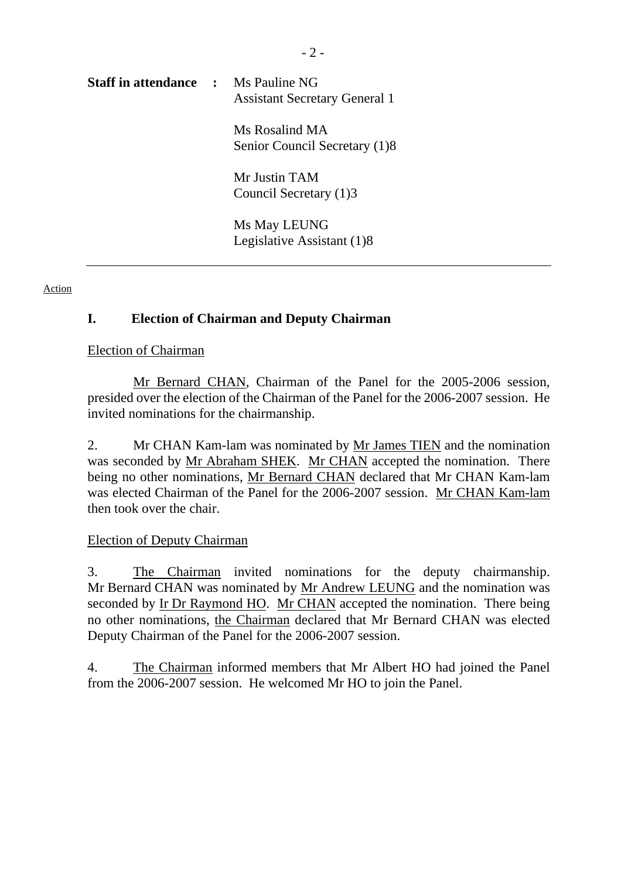| <b>Staff in attendance : Ms Pauline NG</b> | <b>Assistant Secretary General 1</b>            |
|--------------------------------------------|-------------------------------------------------|
|                                            | Ms Rosalind MA<br>Senior Council Secretary (1)8 |
|                                            | Mr Justin TAM<br>Council Secretary (1)3         |
|                                            | Ms May LEUNG<br>Legislative Assistant (1)8      |

Action

# **I. Election of Chairman and Deputy Chairman**

#### Election of Chairman

 Mr Bernard CHAN, Chairman of the Panel for the 2005-2006 session, presided over the election of the Chairman of the Panel for the 2006-2007 session. He invited nominations for the chairmanship.

2. Mr CHAN Kam-lam was nominated by Mr James TIEN and the nomination was seconded by Mr Abraham SHEK. Mr CHAN accepted the nomination. There being no other nominations, Mr Bernard CHAN declared that Mr CHAN Kam-lam was elected Chairman of the Panel for the 2006-2007 session. Mr CHAN Kam-lam then took over the chair.

### Election of Deputy Chairman

3. The Chairman invited nominations for the deputy chairmanship. Mr Bernard CHAN was nominated by Mr Andrew LEUNG and the nomination was seconded by Ir Dr Raymond HO. Mr CHAN accepted the nomination. There being no other nominations, the Chairman declared that Mr Bernard CHAN was elected Deputy Chairman of the Panel for the 2006-2007 session.

4. The Chairman informed members that Mr Albert HO had joined the Panel from the 2006-2007 session. He welcomed Mr HO to join the Panel.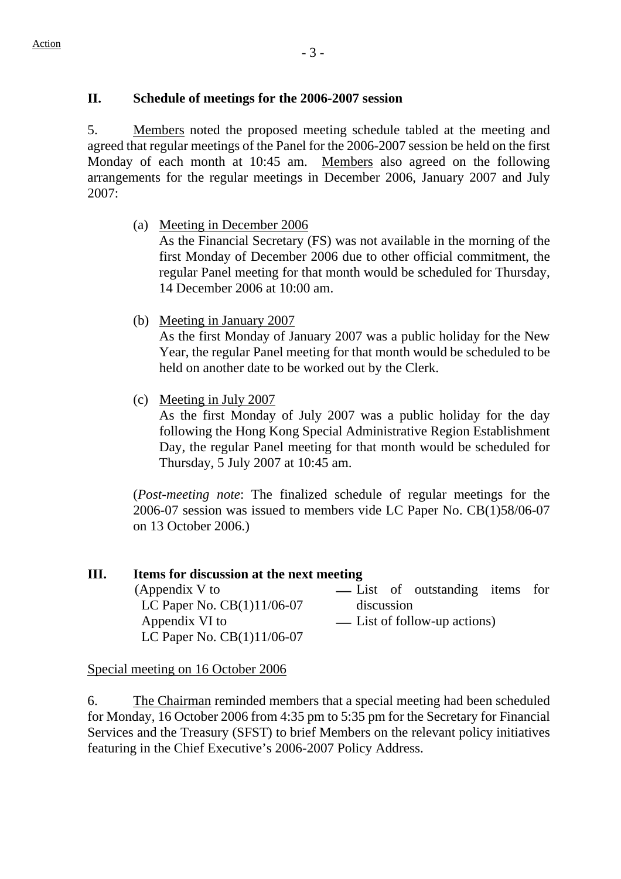# **II. Schedule of meetings for the 2006-2007 session**

5. Members noted the proposed meeting schedule tabled at the meeting and agreed that regular meetings of the Panel for the 2006-2007 session be held on the first Monday of each month at 10:45 am. Members also agreed on the following arrangements for the regular meetings in December 2006, January 2007 and July 2007:

(a) Meeting in December 2006

 As the Financial Secretary (FS) was not available in the morning of the first Monday of December 2006 due to other official commitment, the regular Panel meeting for that month would be scheduled for Thursday, 14 December 2006 at 10:00 am.

(b) Meeting in January 2007

 As the first Monday of January 2007 was a public holiday for the New Year, the regular Panel meeting for that month would be scheduled to be held on another date to be worked out by the Clerk.

(c) Meeting in July 2007

 As the first Monday of July 2007 was a public holiday for the day following the Hong Kong Special Administrative Region Establishment Day, the regular Panel meeting for that month would be scheduled for Thursday, 5 July 2007 at 10:45 am.

(*Post-meeting note*: The finalized schedule of regular meetings for the 2006-07 session was issued to members vide LC Paper No. CB(1)58/06-07 on 13 October 2006.)

#### **III. Items for discussion at the next meeting**  (Appendix V to LC Paper No. CB(1)11/06-07 — List of outstanding items for discussion Appendix VI to LC Paper No. CB(1)11/06-07 — List of follow-up actions)

Special meeting on 16 October 2006

6. The Chairman reminded members that a special meeting had been scheduled for Monday, 16 October 2006 from 4:35 pm to 5:35 pm for the Secretary for Financial Services and the Treasury (SFST) to brief Members on the relevant policy initiatives featuring in the Chief Executive's 2006-2007 Policy Address.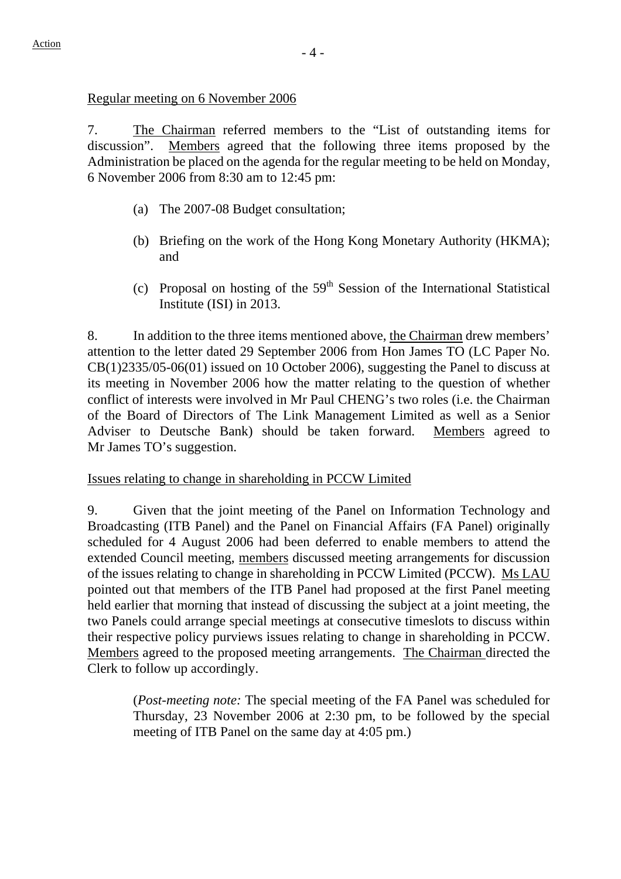Regular meeting on 6 November 2006

7. The Chairman referred members to the "List of outstanding items for discussion". Members agreed that the following three items proposed by the Administration be placed on the agenda for the regular meeting to be held on Monday, 6 November 2006 from 8:30 am to 12:45 pm:

- (a) The 2007-08 Budget consultation;
- (b) Briefing on the work of the Hong Kong Monetary Authority (HKMA); and
- (c) Proposal on hosting of the  $59<sup>th</sup>$  Session of the International Statistical Institute (ISI) in 2013.

8. In addition to the three items mentioned above, the Chairman drew members' attention to the letter dated 29 September 2006 from Hon James TO (LC Paper No. CB(1)2335/05-06(01) issued on 10 October 2006), suggesting the Panel to discuss at its meeting in November 2006 how the matter relating to the question of whether conflict of interests were involved in Mr Paul CHENG's two roles (i.e. the Chairman of the Board of Directors of The Link Management Limited as well as a Senior Adviser to Deutsche Bank) should be taken forward. Members agreed to Mr James TO's suggestion.

Issues relating to change in shareholding in PCCW Limited

9. Given that the joint meeting of the Panel on Information Technology and Broadcasting (ITB Panel) and the Panel on Financial Affairs (FA Panel) originally scheduled for 4 August 2006 had been deferred to enable members to attend the extended Council meeting, members discussed meeting arrangements for discussion of the issues relating to change in shareholding in PCCW Limited (PCCW). Ms LAU pointed out that members of the ITB Panel had proposed at the first Panel meeting held earlier that morning that instead of discussing the subject at a joint meeting, the two Panels could arrange special meetings at consecutive timeslots to discuss within their respective policy purviews issues relating to change in shareholding in PCCW. Members agreed to the proposed meeting arrangements. The Chairman directed the Clerk to follow up accordingly.

(*Post-meeting note:* The special meeting of the FA Panel was scheduled for Thursday, 23 November 2006 at 2:30 pm, to be followed by the special meeting of ITB Panel on the same day at 4:05 pm.)